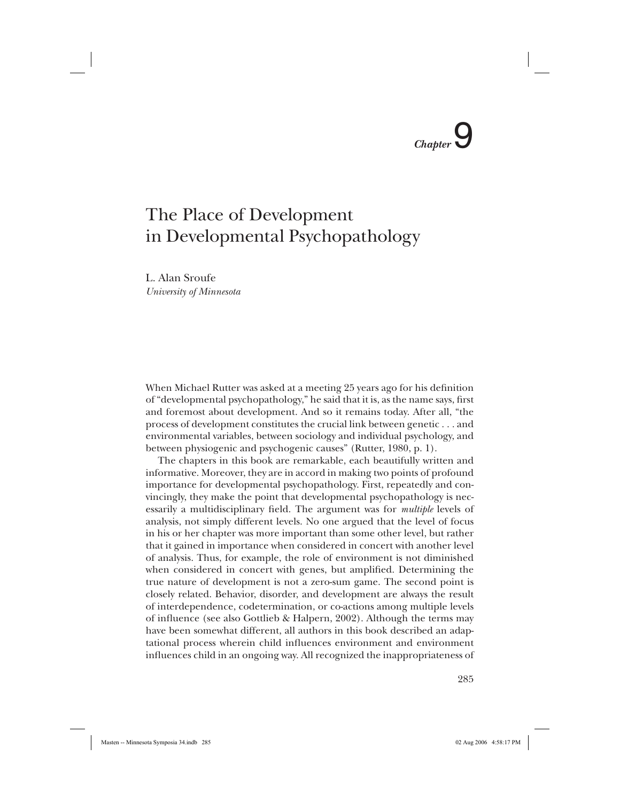# *Chapter*

## The Place of Development in Developmental Psychopathology

L. Alan Sroufe *University of Minnesota*

When Michael Rutter was asked at a meeting 25 years ago for his definition of "developmental psychopathology," he said that it is, as the name says, first and foremost about development. And so it remains today. After all, "the process of development constitutes the crucial link between genetic . . . and environmental variables, between sociology and individual psychology, and between physiogenic and psychogenic causes" (Rutter, 1980, p. 1).

The chapters in this book are remarkable, each beautifully written and informative. Moreover, they are in accord in making two points of profound importance for developmental psychopathology. First, repeatedly and convincingly, they make the point that developmental psychopathology is necessarily a multidisciplinary field. The argument was for *multiple* levels of analysis, not simply different levels. No one argued that the level of focus in his or her chapter was more important than some other level, but rather that it gained in importance when considered in concert with another level of analysis. Thus, for example, the role of environment is not diminished when considered in concert with genes, but amplified. Determining the true nature of development is not a zero-sum game. The second point is closely related. Behavior, disorder, and development are always the result of interdependence, codetermination, or co-actions among multiple levels of influence (see also Gottlieb & Halpern, 2002). Although the terms may have been somewhat different, all authors in this book described an adaptational process wherein child influences environment and environment influences child in an ongoing way. All recognized the inappropriateness of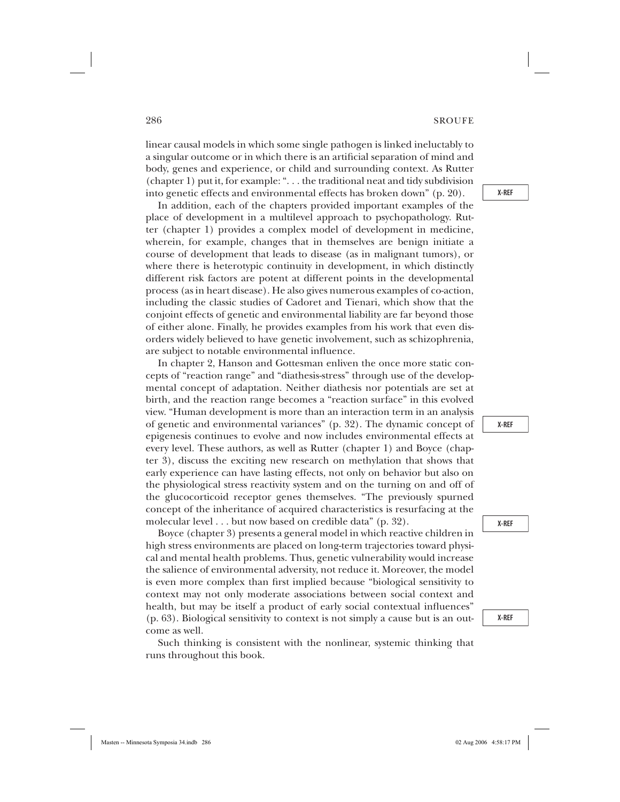linear causal models in which some single pathogen is linked ineluctably to a singular outcome or in which there is an artificial separation of mind and body, genes and experience, or child and surrounding context. As Rutter (chapter 1) put it, for example: ". . . the traditional neat and tidy subdivision into genetic effects and environmental effects has broken down" (p. 20).

In addition, each of the chapters provided important examples of the place of development in a multilevel approach to psychopathology. Rutter (chapter 1) provides a complex model of development in medicine, wherein, for example, changes that in themselves are benign initiate a course of development that leads to disease (as in malignant tumors), or where there is heterotypic continuity in development, in which distinctly different risk factors are potent at different points in the developmental process (as in heart disease). He also gives numerous examples of co-action, including the classic studies of Cadoret and Tienari, which show that the conjoint effects of genetic and environmental liability are far beyond those of either alone. Finally, he provides examples from his work that even disorders widely believed to have genetic involvement, such as schizophrenia, are subject to notable environmental influence.

In chapter 2, Hanson and Gottesman enliven the once more static concepts of "reaction range" and "diathesis-stress" through use of the developmental concept of adaptation. Neither diathesis nor potentials are set at birth, and the reaction range becomes a "reaction surface" in this evolved view. "Human development is more than an interaction term in an analysis of genetic and environmental variances" (p. 32). The dynamic concept of epigenesis continues to evolve and now includes environmental effects at every level. These authors, as well as Rutter (chapter 1) and Boyce (chapter 3), discuss the exciting new research on methylation that shows that early experience can have lasting effects, not only on behavior but also on the physiological stress reactivity system and on the turning on and off of the glucocorticoid receptor genes themselves. "The previously spurned concept of the inheritance of acquired characteristics is resurfacing at the molecular level . . . but now based on credible data" (p. 32).

Boyce (chapter 3) presents a general model in which reactive children in high stress environments are placed on long-term trajectories toward physical and mental health problems. Thus, genetic vulnerability would increase the salience of environmental adversity, not reduce it. Moreover, the model is even more complex than first implied because "biological sensitivity to context may not only moderate associations between social context and health, but may be itself a product of early social contextual influences" (p. 63). Biological sensitivity to context is not simply a cause but is an outcome as well.

Such thinking is consistent with the nonlinear, systemic thinking that runs throughout this book.

**X-REF**

**X-REF**

**X-REF**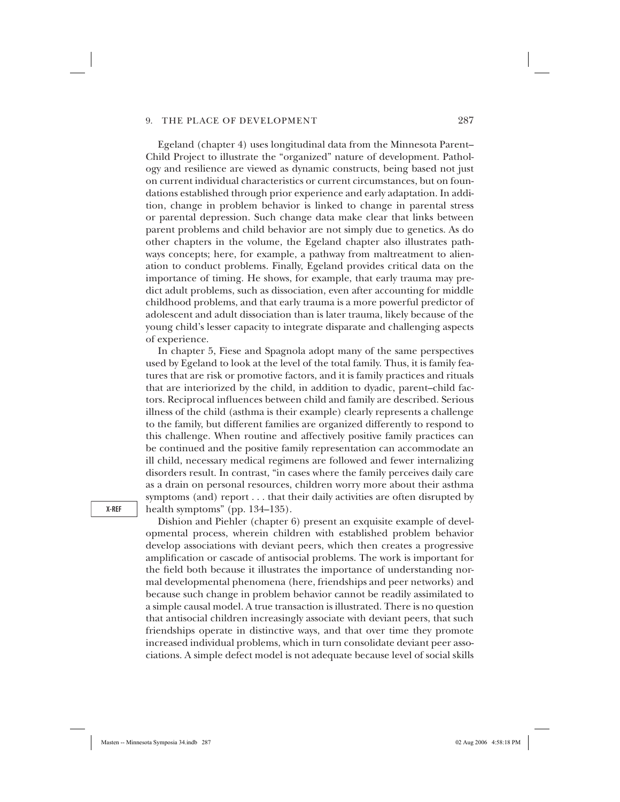Egeland (chapter 4) uses longitudinal data from the Minnesota Parent– Child Project to illustrate the "organized" nature of development. Pathology and resilience are viewed as dynamic constructs, being based not just on current individual characteristics or current circumstances, but on foundations established through prior experience and early adaptation. In addition, change in problem behavior is linked to change in parental stress or parental depression. Such change data make clear that links between parent problems and child behavior are not simply due to genetics. As do other chapters in the volume, the Egeland chapter also illustrates pathways concepts; here, for example, a pathway from maltreatment to alienation to conduct problems. Finally, Egeland provides critical data on the importance of timing. He shows, for example, that early trauma may predict adult problems, such as dissociation, even after accounting for middle childhood problems, and that early trauma is a more powerful predictor of adolescent and adult dissociation than is later trauma, likely because of the young child's lesser capacity to integrate disparate and challenging aspects of experience.

In chapter 5, Fiese and Spagnola adopt many of the same perspectives used by Egeland to look at the level of the total family. Thus, it is family features that are risk or promotive factors, and it is family practices and rituals that are interiorized by the child, in addition to dyadic, parent–child factors. Reciprocal influences between child and family are described. Serious illness of the child (asthma is their example) clearly represents a challenge to the family, but different families are organized differently to respond to this challenge. When routine and affectively positive family practices can be continued and the positive family representation can accommodate an ill child, necessary medical regimens are followed and fewer internalizing disorders result. In contrast, "in cases where the family perceives daily care as a drain on personal resources, children worry more about their asthma symptoms (and) report . . . that their daily activities are often disrupted by health symptoms" (pp. 134–135).

Dishion and Piehler (chapter 6) present an exquisite example of developmental process, wherein children with established problem behavior develop associations with deviant peers, which then creates a progressive amplification or cascade of antisocial problems. The work is important for the field both because it illustrates the importance of understanding normal developmental phenomena (here, friendships and peer networks) and because such change in problem behavior cannot be readily assimilated to a simple causal model. A true transaction is illustrated. There is no question that antisocial children increasingly associate with deviant peers, that such friendships operate in distinctive ways, and that over time they promote increased individual problems, which in turn consolidate deviant peer associations. A simple defect model is not adequate because level of social skills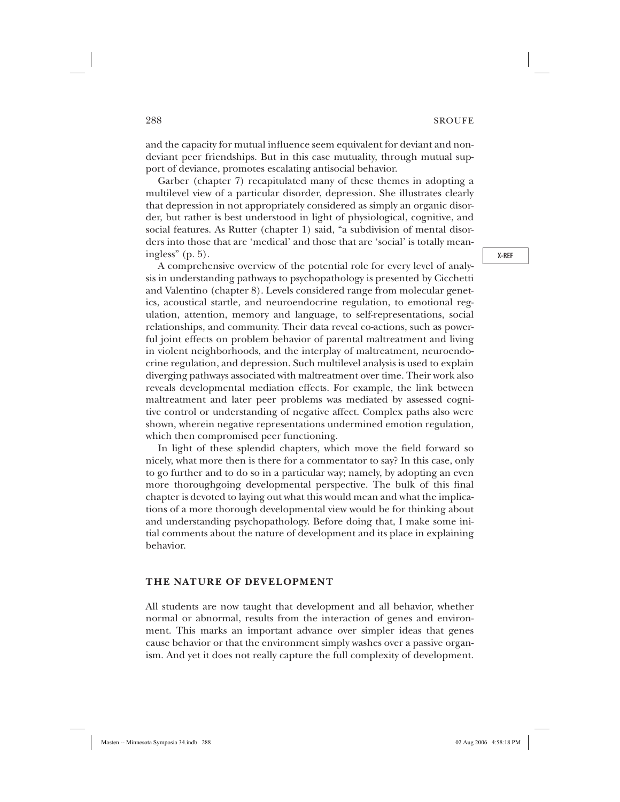and the capacity for mutual influence seem equivalent for deviant and nondeviant peer friendships. But in this case mutuality, through mutual support of deviance, promotes escalating antisocial behavior.

Garber (chapter 7) recapitulated many of these themes in adopting a multilevel view of a particular disorder, depression. She illustrates clearly that depression in not appropriately considered as simply an organic disorder, but rather is best understood in light of physiological, cognitive, and social features. As Rutter (chapter 1) said, "a subdivision of mental disorders into those that are 'medical' and those that are 'social' is totally meaningless" (p. 5).

A comprehensive overview of the potential role for every level of analysis in understanding pathways to psychopathology is presented by Cicchetti and Valentino (chapter 8). Levels considered range from molecular genetics, acoustical startle, and neuroendocrine regulation, to emotional regulation, attention, memory and language, to self-representations, social relationships, and community. Their data reveal co-actions, such as powerful joint effects on problem behavior of parental maltreatment and living in violent neighborhoods, and the interplay of maltreatment, neuroendocrine regulation, and depression. Such multilevel analysis is used to explain diverging pathways associated with maltreatment over time. Their work also reveals developmental mediation effects. For example, the link between maltreatment and later peer problems was mediated by assessed cognitive control or understanding of negative affect. Complex paths also were shown, wherein negative representations undermined emotion regulation, which then compromised peer functioning.

In light of these splendid chapters, which move the field forward so nicely, what more then is there for a commentator to say? In this case, only to go further and to do so in a particular way; namely, by adopting an even more thoroughgoing developmental perspective. The bulk of this final chapter is devoted to laying out what this would mean and what the implications of a more thorough developmental view would be for thinking about and understanding psychopathology. Before doing that, I make some initial comments about the nature of development and its place in explaining behavior.

#### **THE NATURE OF DEVELOPMENT**

All students are now taught that development and all behavior, whether normal or abnormal, results from the interaction of genes and environment. This marks an important advance over simpler ideas that genes cause behavior or that the environment simply washes over a passive organism. And yet it does not really capture the full complexity of development.

**X-REF**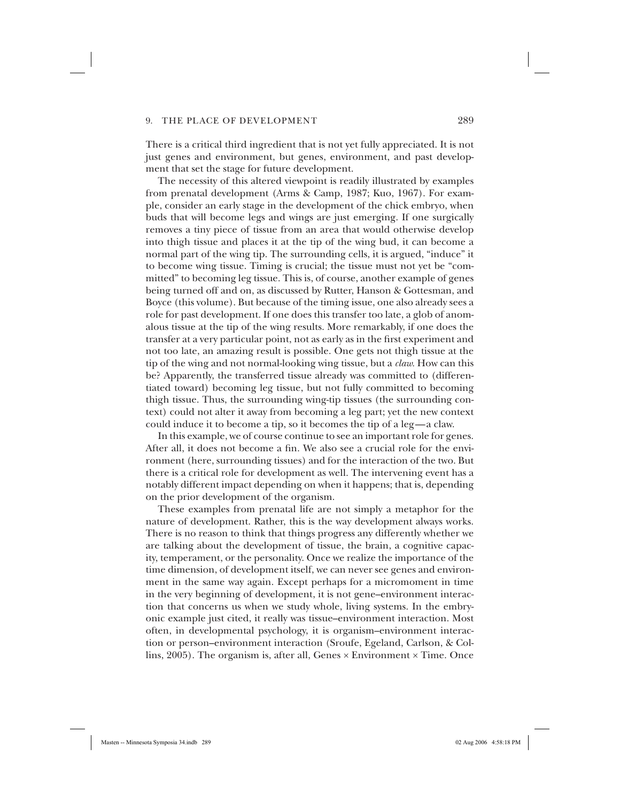There is a critical third ingredient that is not yet fully appreciated. It is not just genes and environment, but genes, environment, and past development that set the stage for future development.

The necessity of this altered viewpoint is readily illustrated by examples from prenatal development (Arms & Camp, 1987; Kuo, 1967). For example, consider an early stage in the development of the chick embryo, when buds that will become legs and wings are just emerging. If one surgically removes a tiny piece of tissue from an area that would otherwise develop into thigh tissue and places it at the tip of the wing bud, it can become a normal part of the wing tip. The surrounding cells, it is argued, "induce" it to become wing tissue. Timing is crucial; the tissue must not yet be "committed" to becoming leg tissue. This is, of course, another example of genes being turned off and on, as discussed by Rutter, Hanson & Gottesman, and Boyce (this volume). But because of the timing issue, one also already sees a role for past development. If one does this transfer too late, a glob of anomalous tissue at the tip of the wing results. More remarkably, if one does the transfer at a very particular point, not as early as in the first experiment and not too late, an amazing result is possible. One gets not thigh tissue at the tip of the wing and not normal-looking wing tissue, but a *claw.* How can this be? Apparently, the transferred tissue already was committed to (differentiated toward) becoming leg tissue, but not fully committed to becoming thigh tissue. Thus, the surrounding wing-tip tissues (the surrounding context) could not alter it away from becoming a leg part; yet the new context could induce it to become a tip, so it becomes the tip of a leg—a claw.

In this example, we of course continue to see an important role for genes. After all, it does not become a fin. We also see a crucial role for the environment (here, surrounding tissues) and for the interaction of the two. But there is a critical role for development as well. The intervening event has a notably different impact depending on when it happens; that is, depending on the prior development of the organism.

These examples from prenatal life are not simply a metaphor for the nature of development. Rather, this is the way development always works. There is no reason to think that things progress any differently whether we are talking about the development of tissue, the brain, a cognitive capacity, temperament, or the personality. Once we realize the importance of the time dimension, of development itself, we can never see genes and environment in the same way again. Except perhaps for a micromoment in time in the very beginning of development, it is not gene–environment interaction that concerns us when we study whole, living systems. In the embryonic example just cited, it really was tissue–environment interaction. Most often, in developmental psychology, it is organism–environment interaction or person–environment interaction (Sroufe, Egeland, Carlson, & Collins, 2005). The organism is, after all, Genes  $\times$  Environment  $\times$  Time. Once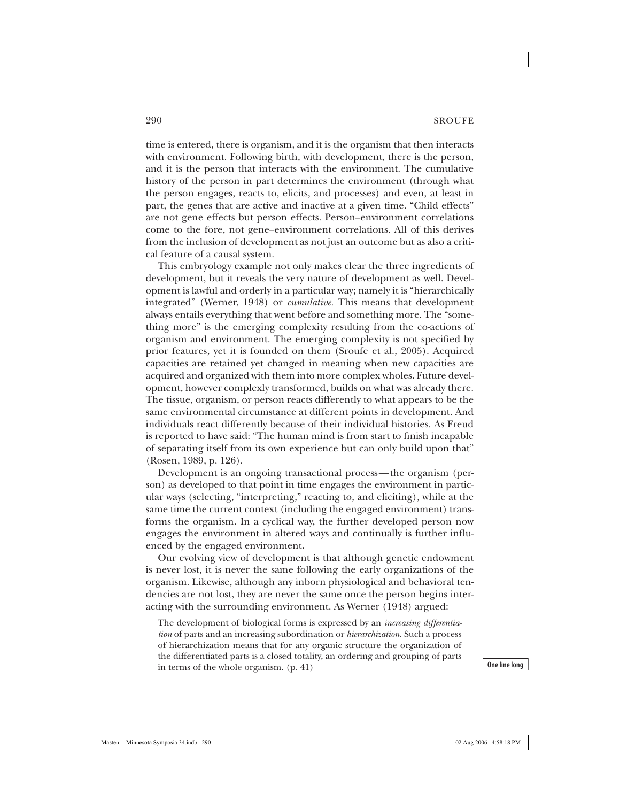time is entered, there is organism, and it is the organism that then interacts with environment. Following birth, with development, there is the person, and it is the person that interacts with the environment. The cumulative history of the person in part determines the environment (through what the person engages, reacts to, elicits, and processes) and even, at least in part, the genes that are active and inactive at a given time. "Child effects" are not gene effects but person effects. Person–environment correlations come to the fore, not gene–environment correlations. All of this derives from the inclusion of development as not just an outcome but as also a critical feature of a causal system.

This embryology example not only makes clear the three ingredients of development, but it reveals the very nature of development as well. Development is lawful and orderly in a particular way; namely it is "hierarchically integrated" (Werner, 1948) or *cumulative.* This means that development always entails everything that went before and something more. The "something more" is the emerging complexity resulting from the co-actions of organism and environment. The emerging complexity is not specified by prior features, yet it is founded on them (Sroufe et al., 2005). Acquired capacities are retained yet changed in meaning when new capacities are acquired and organized with them into more complex wholes. Future development, however complexly transformed, builds on what was already there. The tissue, organism, or person reacts differently to what appears to be the same environmental circumstance at different points in development. And individuals react differently because of their individual histories. As Freud is reported to have said: "The human mind is from start to finish incapable of separating itself from its own experience but can only build upon that" (Rosen, 1989, p. 126).

Development is an ongoing transactional process—the organism (person) as developed to that point in time engages the environment in particular ways (selecting, "interpreting," reacting to, and eliciting), while at the same time the current context (including the engaged environment) transforms the organism. In a cyclical way, the further developed person now engages the environment in altered ways and continually is further influenced by the engaged environment.

Our evolving view of development is that although genetic endowment is never lost, it is never the same following the early organizations of the organism. Likewise, although any inborn physiological and behavioral tendencies are not lost, they are never the same once the person begins interacting with the surrounding environment. As Werner (1948) argued:

The development of biological forms is expressed by an *increasing differentiation* of parts and an increasing subordination or *hierarchization.* Such a process of hierarchization means that for any organic structure the organization of the differentiated parts is a closed totality, an ordering and grouping of parts in terms of the whole organism. (p. 41) **One line long**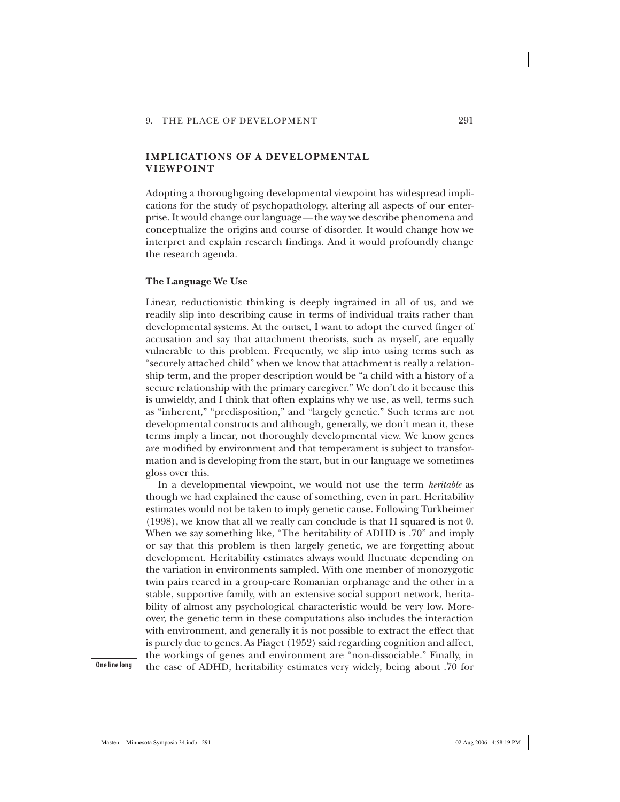## **IMPLICATIONS OF A DEVELOPMENTAL VIEWPOINT**

Adopting a thoroughgoing developmental viewpoint has widespread implications for the study of psychopathology, altering all aspects of our enterprise. It would change our language—the way we describe phenomena and conceptualize the origins and course of disorder. It would change how we interpret and explain research findings. And it would profoundly change the research agenda.

#### **The Language We Use**

Linear, reductionistic thinking is deeply ingrained in all of us, and we readily slip into describing cause in terms of individual traits rather than developmental systems. At the outset, I want to adopt the curved finger of accusation and say that attachment theorists, such as myself, are equally vulnerable to this problem. Frequently, we slip into using terms such as "securely attached child" when we know that attachment is really a relationship term, and the proper description would be "a child with a history of a secure relationship with the primary caregiver." We don't do it because this is unwieldy, and I think that often explains why we use, as well, terms such as "inherent," "predisposition," and "largely genetic." Such terms are not developmental constructs and although, generally, we don't mean it, these terms imply a linear, not thoroughly developmental view. We know genes are modified by environment and that temperament is subject to transformation and is developing from the start, but in our language we sometimes gloss over this.

In a developmental viewpoint, we would not use the term *heritable* as though we had explained the cause of something, even in part. Heritability estimates would not be taken to imply genetic cause. Following Turkheimer (1998), we know that all we really can conclude is that H squared is not 0. When we say something like, "The heritability of ADHD is .70" and imply or say that this problem is then largely genetic, we are forgetting about development. Heritability estimates always would fluctuate depending on the variation in environments sampled. With one member of monozygotic twin pairs reared in a group-care Romanian orphanage and the other in a stable, supportive family, with an extensive social support network, heritability of almost any psychological characteristic would be very low. Moreover, the genetic term in these computations also includes the interaction with environment, and generally it is not possible to extract the effect that is purely due to genes. As Piaget (1952) said regarding cognition and affect, the workings of genes and environment are "non-dissociable." Finally, in **One line long** the case of ADHD, heritability estimates very widely, being about .70 for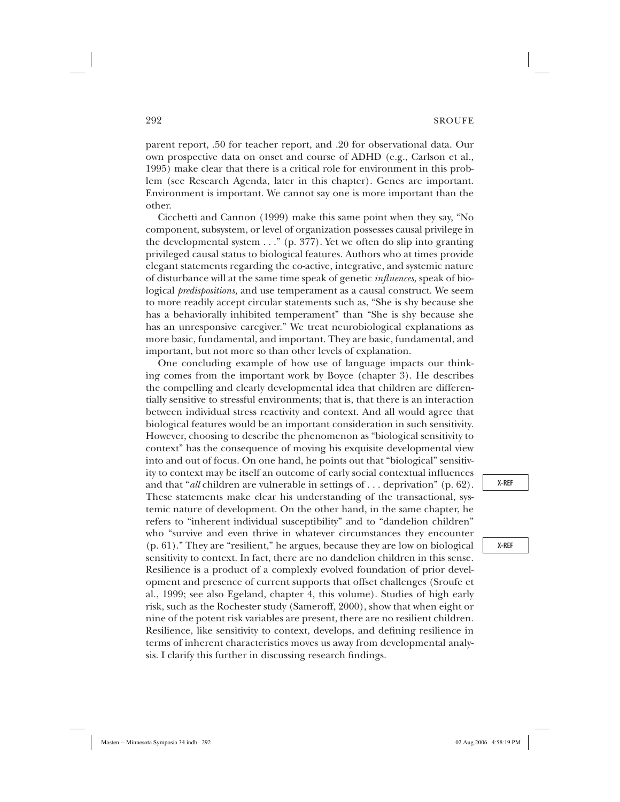parent report, .50 for teacher report, and .20 for observational data. Our own prospective data on onset and course of ADHD (e.g., Carlson et al., 1995) make clear that there is a critical role for environment in this problem (see Research Agenda, later in this chapter). Genes are important. Environment is important. We cannot say one is more important than the other.

Cicchetti and Cannon (1999) make this same point when they say, "No component, subsystem, or level of organization possesses causal privilege in the developmental system . . ." (p. 377). Yet we often do slip into granting privileged causal status to biological features. Authors who at times provide elegant statements regarding the co-active, integrative, and systemic nature of disturbance will at the same time speak of genetic *infl uences,* speak of biological *predispositions,* and use temperament as a causal construct. We seem to more readily accept circular statements such as, "She is shy because she has a behaviorally inhibited temperament" than "She is shy because she has an unresponsive caregiver." We treat neurobiological explanations as more basic, fundamental, and important. They are basic, fundamental, and important, but not more so than other levels of explanation.

One concluding example of how use of language impacts our thinking comes from the important work by Boyce (chapter 3). He describes the compelling and clearly developmental idea that children are differentially sensitive to stressful environments; that is, that there is an interaction between individual stress reactivity and context. And all would agree that biological features would be an important consideration in such sensitivity. However, choosing to describe the phenomenon as "biological sensitivity to context" has the consequence of moving his exquisite developmental view into and out of focus. On one hand, he points out that "biological" sensitivity to context may be itself an outcome of early social contextual influences and that "*all* children are vulnerable in settings of . . . deprivation" (p. 62). These statements make clear his understanding of the transactional, systemic nature of development. On the other hand, in the same chapter, he refers to "inherent individual susceptibility" and to "dandelion children" who "survive and even thrive in whatever circumstances they encounter (p. 61)." They are "resilient," he argues, because they are low on biological sensitivity to context. In fact, there are no dandelion children in this sense. Resilience is a product of a complexly evolved foundation of prior development and presence of current supports that offset challenges (Sroufe et al., 1999; see also Egeland, chapter 4, this volume). Studies of high early risk, such as the Rochester study (Sameroff, 2000), show that when eight or nine of the potent risk variables are present, there are no resilient children. Resilience, like sensitivity to context, develops, and defining resilience in terms of inherent characteristics moves us away from developmental analysis. I clarify this further in discussing research findings.

**X-REF**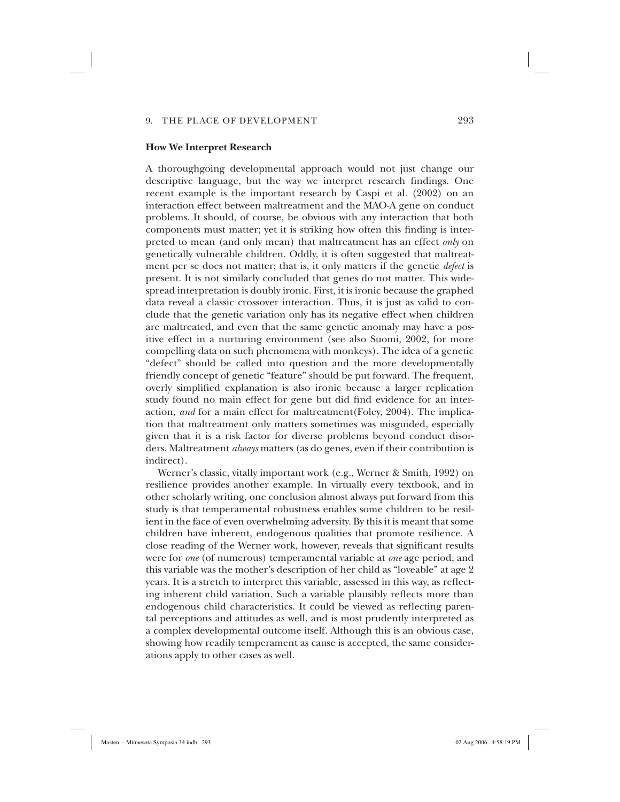#### **How We Interpret Research**

A thoroughgoing developmental approach would not just change our descriptive language, but the way we interpret research findings. One recent example is the important research by Caspi et al. (2002) on an interaction effect between maltreatment and the MAO-A gene on conduct problems. It should, of course, be obvious with any interaction that both components must matter; yet it is striking how often this finding is interpreted to mean (and only mean) that maltreatment has an effect *only* on genetically vulnerable children. Oddly, it is often suggested that maltreatment per se does not matter; that is, it only matters if the genetic *defect* is present. It is not similarly concluded that genes do not matter. This widespread interpretation is doubly ironic. First, it is ironic because the graphed data reveal a classic crossover interaction. Thus, it is just as valid to conclude that the genetic variation only has its negative effect when children are maltreated, and even that the same genetic anomaly may have a positive effect in a nurturing environment (see also Suomi, 2002, for more compelling data on such phenomena with monkeys). The idea of a genetic "defect" should be called into question and the more developmentally friendly concept of genetic "feature" should be put forward. The frequent, overly simplified explanation is also ironic because a larger replication study found no main effect for gene but did find evidence for an interaction, *and* for a main effect for maltreatment(Foley, 2004). The implication that maltreatment only matters sometimes was misguided, especially given that it is a risk factor for diverse problems beyond conduct disorders. Maltreatment *always* matters (as do genes, even if their contribution is indirect).

Werner's classic, vitally important work (e.g., Werner & Smith, 1992) on resilience provides another example. In virtually every textbook, and in other scholarly writing, one conclusion almost always put forward from this study is that temperamental robustness enables some children to be resilient in the face of even overwhelming adversity. By this it is meant that some children have inherent, endogenous qualities that promote resilience. A close reading of the Werner work, however, reveals that significant results were for *one* (of numerous) temperamental variable at *one* age period, and this variable was the mother's description of her child as "loveable" at age 2 years. It is a stretch to interpret this variable, assessed in this way, as reflecting inherent child variation. Such a variable plausibly reflects more than endogenous child characteristics. It could be viewed as reflecting parental perceptions and attitudes as well, and is most prudently interpreted as a complex developmental outcome itself. Although this is an obvious case, showing how readily temperament as cause is accepted, the same considerations apply to other cases as well.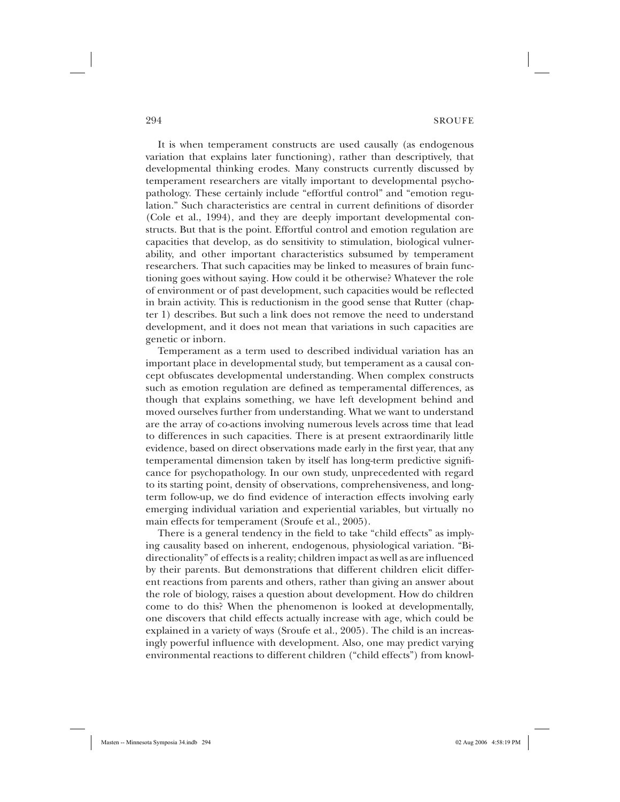It is when temperament constructs are used causally (as endogenous variation that explains later functioning), rather than descriptively, that developmental thinking erodes. Many constructs currently discussed by temperament researchers are vitally important to developmental psychopathology. These certainly include "effortful control" and "emotion regulation." Such characteristics are central in current definitions of disorder (Cole et al., 1994), and they are deeply important developmental constructs. But that is the point. Effortful control and emotion regulation are capacities that develop, as do sensitivity to stimulation, biological vulnerability, and other important characteristics subsumed by temperament researchers. That such capacities may be linked to measures of brain functioning goes without saying. How could it be otherwise? Whatever the role of environment or of past development, such capacities would be reflected in brain activity. This is reductionism in the good sense that Rutter (chapter 1) describes. But such a link does not remove the need to understand development, and it does not mean that variations in such capacities are genetic or inborn.

Temperament as a term used to described individual variation has an important place in developmental study, but temperament as a causal concept obfuscates developmental understanding. When complex constructs such as emotion regulation are defined as temperamental differences, as though that explains something, we have left development behind and moved ourselves further from understanding. What we want to understand are the array of co-actions involving numerous levels across time that lead to differences in such capacities. There is at present extraordinarily little evidence, based on direct observations made early in the first year, that any temperamental dimension taken by itself has long-term predictive significance for psychopathology. In our own study, unprecedented with regard to its starting point, density of observations, comprehensiveness, and longterm follow-up, we do find evidence of interaction effects involving early emerging individual variation and experiential variables, but virtually no main effects for temperament (Sroufe et al., 2005).

There is a general tendency in the field to take "child effects" as implying causality based on inherent, endogenous, physiological variation. "Bidirectionality" of effects is a reality; children impact as well as are influenced by their parents. But demonstrations that different children elicit different reactions from parents and others, rather than giving an answer about the role of biology, raises a question about development. How do children come to do this? When the phenomenon is looked at developmentally, one discovers that child effects actually increase with age, which could be explained in a variety of ways (Sroufe et al., 2005). The child is an increasingly powerful influence with development. Also, one may predict varying environmental reactions to different children ("child effects") from knowl-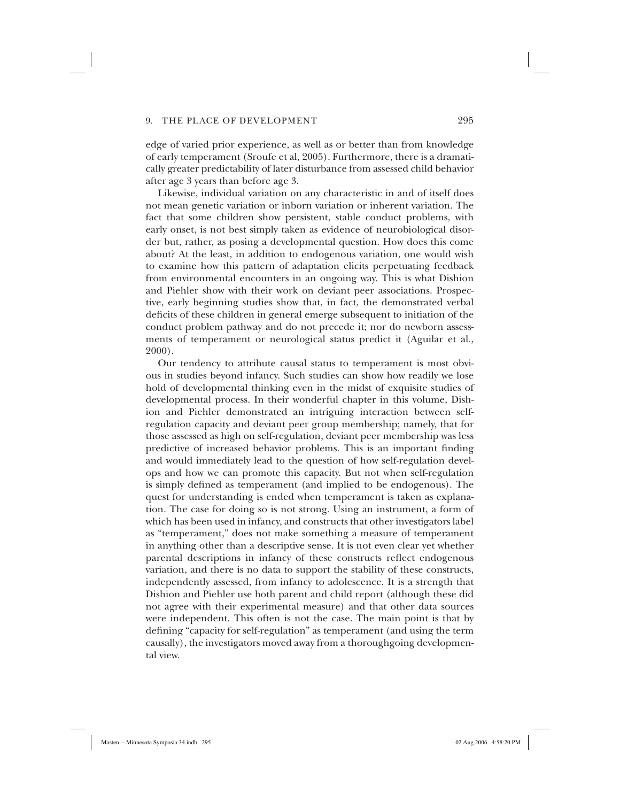edge of varied prior experience, as well as or better than from knowledge of early temperament (Sroufe et al, 2005). Furthermore, there is a dramatically greater predictability of later disturbance from assessed child behavior after age 3 years than before age 3.

Likewise, individual variation on any characteristic in and of itself does not mean genetic variation or inborn variation or inherent variation. The fact that some children show persistent, stable conduct problems, with early onset, is not best simply taken as evidence of neurobiological disorder but, rather, as posing a developmental question. How does this come about? At the least, in addition to endogenous variation, one would wish to examine how this pattern of adaptation elicits perpetuating feedback from environmental encounters in an ongoing way. This is what Dishion and Piehler show with their work on deviant peer associations. Prospective, early beginning studies show that, in fact, the demonstrated verbal deficits of these children in general emerge subsequent to initiation of the conduct problem pathway and do not precede it; nor do newborn assessments of temperament or neurological status predict it (Aguilar et al., 2000).

Our tendency to attribute causal status to temperament is most obvious in studies beyond infancy. Such studies can show how readily we lose hold of developmental thinking even in the midst of exquisite studies of developmental process. In their wonderful chapter in this volume, Dishion and Piehler demonstrated an intriguing interaction between selfregulation capacity and deviant peer group membership; namely, that for those assessed as high on self-regulation, deviant peer membership was less predictive of increased behavior problems. This is an important finding and would immediately lead to the question of how self-regulation develops and how we can promote this capacity. But not when self-regulation is simply defined as temperament (and implied to be endogenous). The quest for understanding is ended when temperament is taken as explanation. The case for doing so is not strong. Using an instrument, a form of which has been used in infancy, and constructs that other investigators label as "temperament," does not make something a measure of temperament in anything other than a descriptive sense. It is not even clear yet whether parental descriptions in infancy of these constructs reflect endogenous variation, and there is no data to support the stability of these constructs, independently assessed, from infancy to adolescence. It is a strength that Dishion and Piehler use both parent and child report (although these did not agree with their experimental measure) and that other data sources were independent. This often is not the case. The main point is that by defining "capacity for self-regulation" as temperament (and using the term causally), the investigators moved away from a thoroughgoing developmental view.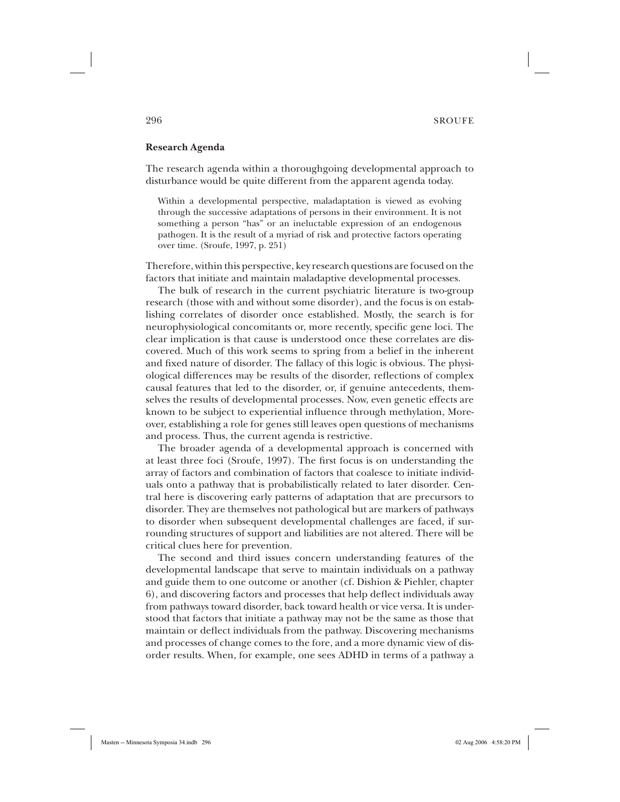#### **Research Agenda**

The research agenda within a thoroughgoing developmental approach to disturbance would be quite different from the apparent agenda today.

Within a developmental perspective, maladaptation is viewed as evolving through the successive adaptations of persons in their environment. It is not something a person "has" or an ineluctable expression of an endogenous pathogen. It is the result of a myriad of risk and protective factors operating over time. (Sroufe, 1997, p. 251)

Therefore, within this perspective, key research questions are focused on the factors that initiate and maintain maladaptive developmental processes.

The bulk of research in the current psychiatric literature is two-group research (those with and without some disorder), and the focus is on establishing correlates of disorder once established. Mostly, the search is for neurophysiological concomitants or, more recently, specific gene loci. The clear implication is that cause is understood once these correlates are discovered. Much of this work seems to spring from a belief in the inherent and fixed nature of disorder. The fallacy of this logic is obvious. The physiological differences may be results of the disorder, reflections of complex causal features that led to the disorder, or, if genuine antecedents, themselves the results of developmental processes. Now, even genetic effects are known to be subject to experiential influence through methylation, Moreover, establishing a role for genes still leaves open questions of mechanisms and process. Thus, the current agenda is restrictive.

The broader agenda of a developmental approach is concerned with at least three foci (Sroufe, 1997). The first focus is on understanding the array of factors and combination of factors that coalesce to initiate individuals onto a pathway that is probabilistically related to later disorder. Central here is discovering early patterns of adaptation that are precursors to disorder. They are themselves not pathological but are markers of pathways to disorder when subsequent developmental challenges are faced, if surrounding structures of support and liabilities are not altered. There will be critical clues here for prevention.

The second and third issues concern understanding features of the developmental landscape that serve to maintain individuals on a pathway and guide them to one outcome or another (cf. Dishion & Piehler, chapter 6), and discovering factors and processes that help deflect individuals away from pathways toward disorder, back toward health or vice versa. It is understood that factors that initiate a pathway may not be the same as those that maintain or deflect individuals from the pathway. Discovering mechanisms and processes of change comes to the fore, and a more dynamic view of disorder results. When, for example, one sees ADHD in terms of a pathway a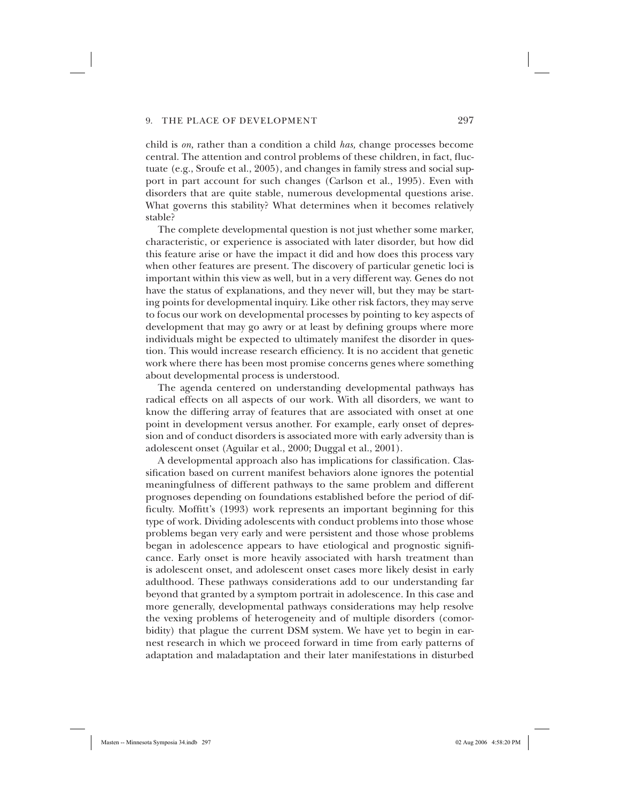child is *on,* rather than a condition a child *has,* change processes become central. The attention and control problems of these children, in fact, fluctuate (e.g., Sroufe et al., 2005), and changes in family stress and social support in part account for such changes (Carlson et al., 1995). Even with disorders that are quite stable, numerous developmental questions arise. What governs this stability? What determines when it becomes relatively stable?

The complete developmental question is not just whether some marker, characteristic, or experience is associated with later disorder, but how did this feature arise or have the impact it did and how does this process vary when other features are present. The discovery of particular genetic loci is important within this view as well, but in a very different way. Genes do not have the status of explanations, and they never will, but they may be starting points for developmental inquiry. Like other risk factors, they may serve to focus our work on developmental processes by pointing to key aspects of development that may go awry or at least by defining groups where more individuals might be expected to ultimately manifest the disorder in question. This would increase research efficiency. It is no accident that genetic work where there has been most promise concerns genes where something about developmental process is understood.

The agenda centered on understanding developmental pathways has radical effects on all aspects of our work. With all disorders, we want to know the differing array of features that are associated with onset at one point in development versus another. For example, early onset of depression and of conduct disorders is associated more with early adversity than is adolescent onset (Aguilar et al., 2000; Duggal et al., 2001).

A developmental approach also has implications for classification. Classification based on current manifest behaviors alone ignores the potential meaningfulness of different pathways to the same problem and different prognoses depending on foundations established before the period of difficulty. Moffitt's (1993) work represents an important beginning for this type of work. Dividing adolescents with conduct problems into those whose problems began very early and were persistent and those whose problems began in adolescence appears to have etiological and prognostic significance. Early onset is more heavily associated with harsh treatment than is adolescent onset, and adolescent onset cases more likely desist in early adulthood. These pathways considerations add to our understanding far beyond that granted by a symptom portrait in adolescence. In this case and more generally, developmental pathways considerations may help resolve the vexing problems of heterogeneity and of multiple disorders (comorbidity) that plague the current DSM system. We have yet to begin in earnest research in which we proceed forward in time from early patterns of adaptation and maladaptation and their later manifestations in disturbed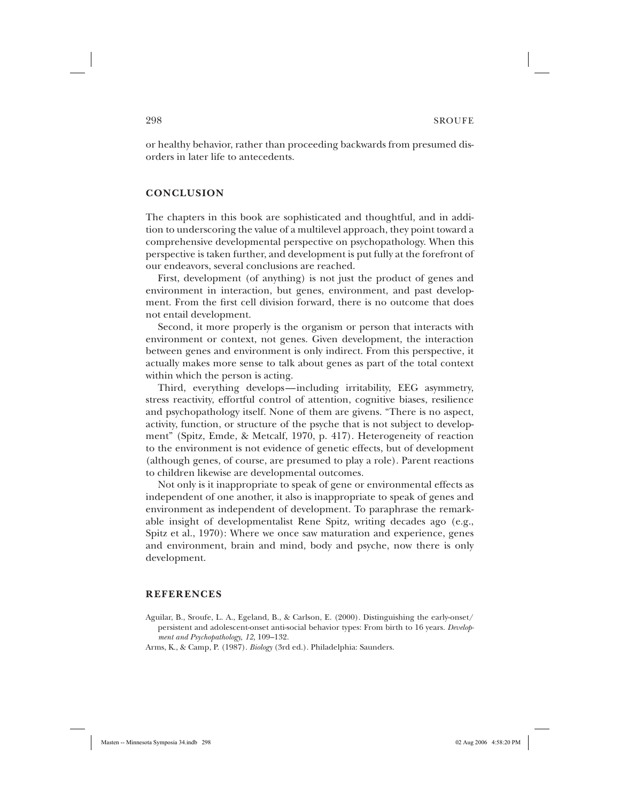or healthy behavior, rather than proceeding backwards from presumed disorders in later life to antecedents.

### **CONCLUSION**

The chapters in this book are sophisticated and thoughtful, and in addition to underscoring the value of a multilevel approach, they point toward a comprehensive developmental perspective on psychopathology. When this perspective is taken further, and development is put fully at the forefront of our endeavors, several conclusions are reached.

First, development (of anything) is not just the product of genes and environment in interaction, but genes, environment, and past development. From the first cell division forward, there is no outcome that does not entail development.

Second, it more properly is the organism or person that interacts with environment or context, not genes. Given development, the interaction between genes and environment is only indirect. From this perspective, it actually makes more sense to talk about genes as part of the total context within which the person is acting.

Third, everything develops—including irritability, EEG asymmetry, stress reactivity, effortful control of attention, cognitive biases, resilience and psychopathology itself. None of them are givens. "There is no aspect, activity, function, or structure of the psyche that is not subject to development" (Spitz, Emde, & Metcalf, 1970, p. 417). Heterogeneity of reaction to the environment is not evidence of genetic effects, but of development (although genes, of course, are presumed to play a role). Parent reactions to children likewise are developmental outcomes.

Not only is it inappropriate to speak of gene or environmental effects as independent of one another, it also is inappropriate to speak of genes and environment as independent of development. To paraphrase the remarkable insight of developmentalist Rene Spitz, writing decades ago (e.g., Spitz et al., 1970): Where we once saw maturation and experience, genes and environment, brain and mind, body and psyche, now there is only development.

#### **REFERENCES**

Aguilar, B., Sroufe, L. A., Egeland, B., & Carlson, E. (2000). Distinguishing the early-onset/ persistent and adolescent-onset anti-social behavior types: From birth to 16 years. *Development and Psychopathology, 12,* 109–132.

Arms, K., & Camp, P. (1987). *Biology* (3rd ed.). Philadelphia: Saunders.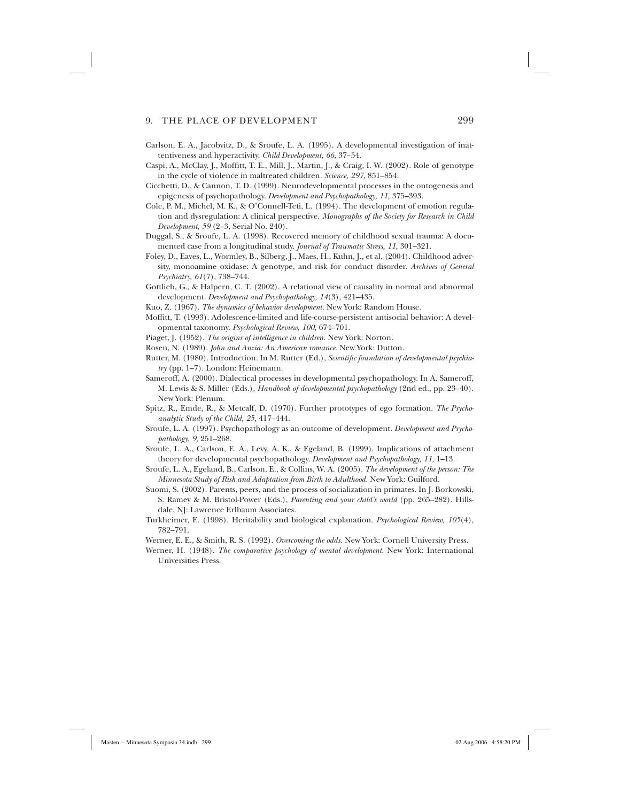- Carlson, E. A., Jacobvitz, D., & Sroufe, L. A. (1995). A developmental investigation of inattentiveness and hyperactivity. *Child Development, 66,* 37–54.
- Caspi, A., McClay, J., Moffitt, T. E., Mill, J., Martin, J., & Craig, I. W. (2002). Role of genotype in the cycle of violence in maltreated children. *Science, 297,* 851–854.
- Cicchetti, D., & Cannon, T. D. (1999). Neurodevelopmental processes in the ontogenesis and epigenesis of psychopathology. *Development and Psychopathology, 11,* 375–393.
- Cole, P. M., Michel, M. K., & O'Connell-Teti, L. (1994). The development of emotion regulation and dysregulation: A clinical perspective. *Monographs of the Society for Research in Child Development, 59* (2–3, Serial No. 240).
- Duggal, S., & Sroufe, L. A. (1998). Recovered memory of childhood sexual trauma: A documented case from a longitudinal study. *Journal of Traumatic Stress, 11,* 301–321.
- Foley, D., Eaves, L., Wormley, B., Silberg, J., Maes, H., Kuhn, J., et al. (2004). Childhood adversity, monoamine oxidase: A genotype, and risk for conduct disorder. *Archives of General Psychiatry, 61*(7), 738–744.
- Gottlieb, G., & Halpern, C. T. (2002). A relational view of causality in normal and abnormal development. *Development and Psychopathology, 14*(3), 421–435.
- Kuo, Z. (1967). *The dynamics of behavior development.* New York: Random House.
- Moffitt, T. (1993). Adolescence-limited and life-course-persistent antisocial behavior: A developmental taxonomy. *Psychological Review, 100,* 674–701.
- Piaget, J. (1952). *The origins of intelligence in children.* New York: Norton.
- Rosen, N. (1989). *John and Anzia: An American romance.* New York: Dutton.
- Rutter, M. (1980). Introduction. In M. Rutter (Ed.), *Scientific foundation of developmental psychiatry* (pp. 1–7). London: Heinemann.
- Sameroff, A. (2000). Dialectical processes in developmental psychopathology. In A. Sameroff, M. Lewis & S. Miller (Eds.), *Handbook of developmental psychopathology* (2nd ed., pp. 23–40). New York: Plenum.
- Spitz, R., Emde, R., & Metcalf, D. (1970). Further prototypes of ego formation. *The Psychoanalytic Study of the Child, 25,* 417–444.
- Sroufe, L. A. (1997). Psychopathology as an outcome of development. *Development and Psychopathology, 9,* 251–268.
- Sroufe, L. A., Carlson, E. A., Levy, A. K., & Egeland, B. (1999). Implications of attachment theory for developmental psychopathology. *Development and Psychopathology, 11,* 1–13.
- Sroufe, L. A., Egeland, B., Carlson, E., & Collins, W. A. (2005). *The development of the person: The Minnesota Study of Risk and Adaptation from Birth to Adulthood.* New York: Guilford.
- Suomi, S. (2002). Parents, peers, and the process of socialization in primates. In J. Borkowski, S. Ramey & M. Bristol-Power (Eds.), *Parenting and your child's world* (pp. 265–282). Hillsdale, NJ: Lawrence Erlbaum Associates.
- Turkheimer, E. (1998). Heritability and biological explanation. *Psychological Review, 105*(4), 782–791.
- Werner, E. E., & Smith, R. S. (1992). *Overcoming the odds.* New York: Cornell University Press.
- Werner, H. (1948). *The comparative psychology of mental development.* New York: International Universities Press.